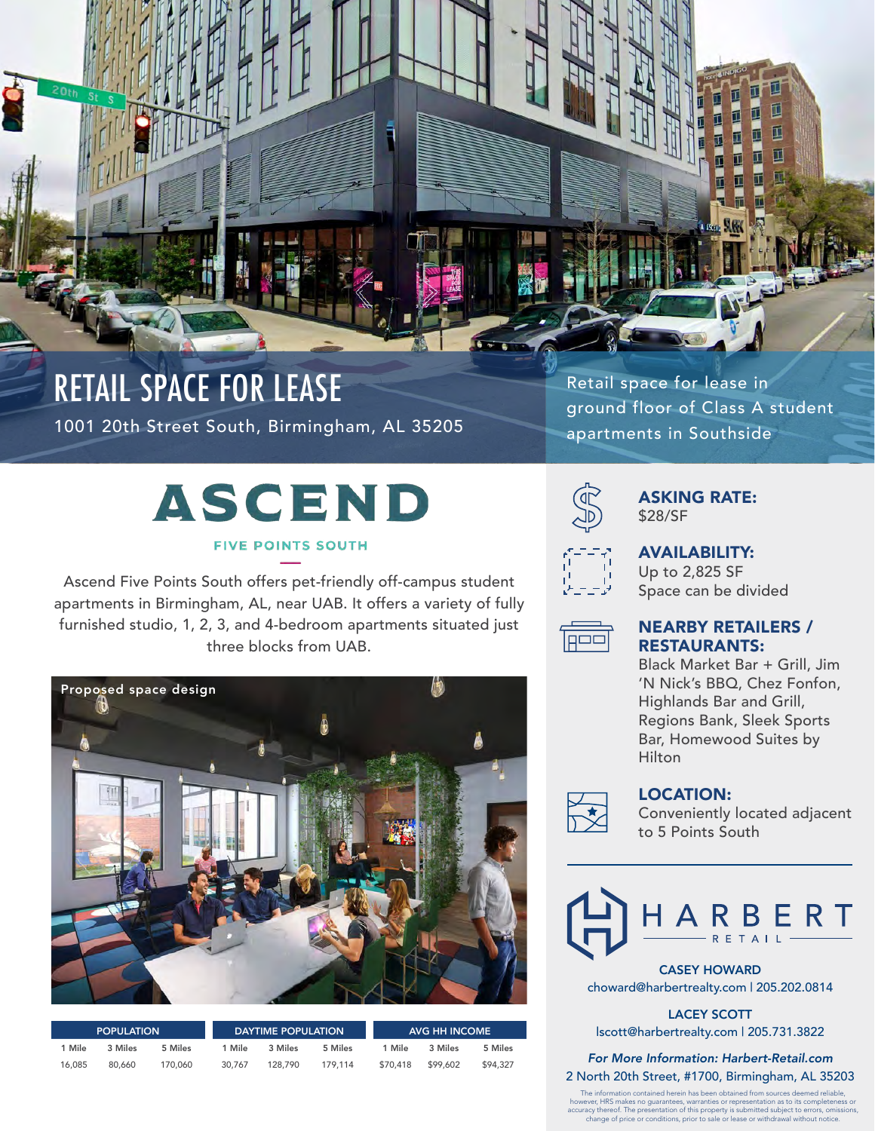

### RETAIL SPACE FOR LEASE 1001 20th Street South, Birmingham, AL 35205

Retail space for lease in ground floor of Class A student apartments in Southside

# **ASCEND**

### **FIVE POINTS SOUTH**

Ascend Five Points South offers pet-friendly off-campus student apartments in Birmingham, AL, near UAB. It offers a variety of fully furnished studio, 1, 2, 3, and 4-bedroom apartments situated just three blocks from UAB.



| <b>POPULATION</b> |         |         | <b>DAYTIME POPULATION</b> |         |         | AVG HH INCOME |          |          |
|-------------------|---------|---------|---------------------------|---------|---------|---------------|----------|----------|
| 1 Mile            | 3 Miles | 5 Miles | 1 Mile                    | 3 Miles | 5 Miles | 1 Mile        | 3 Miles  | 5 Miles  |
| 16.085            | 80.660  | 170,060 | 30.767                    | 128.790 | 179.114 | \$70,418      | \$99.602 | \$94,327 |



### ASKING RATE: \$28/SF



## AVAILABILITY:

Up to 2,825 SF Space can be divided



### NEARBY RETAILERS / RESTAURANTS:

Black Market Bar + Grill, Jim 'N Nick's BBQ, Chez Fonfon, Highlands Bar and Grill, Regions Bank, Sleek Sports Bar, Homewood Suites by Hilton



### LOCATION:

Conveniently located adjacent to 5 Points South



CASEY HOWARD choward@harbertrealty.com | 205.202.0814

LACEY SCOTT lscott@harbertrealty.com | 205.731.3822

*For More Information: Harbert-Retail.com* 2 North 20th Street, #1700, Birmingham, AL 35203

The information contained herein has been obtained from sources deemed reliable,<br>however, HRS makes no guarantees, warranties or representation as to its completeness or<br>accuracy thereof. The presentation of this property